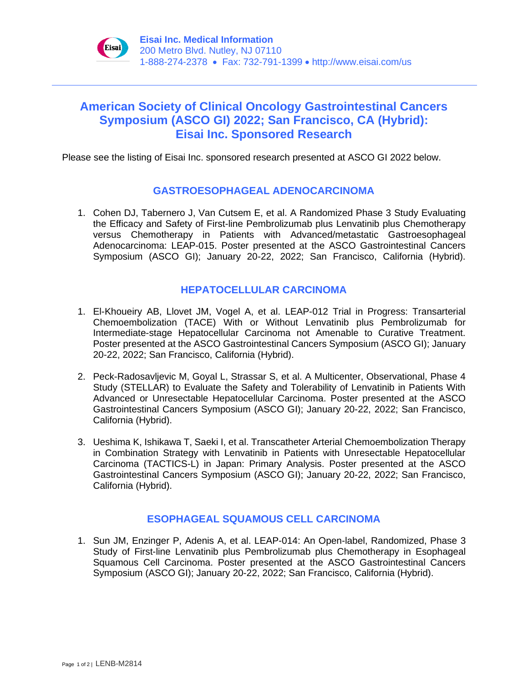

# **American Society of Clinical Oncology Gastrointestinal Cancers Symposium (ASCO GI) 2022; San Francisco, CA (Hybrid): Eisai Inc. Sponsored Research**

Please see the listing of Eisai Inc. sponsored research presented at ASCO GI 2022 below.

## **GASTROESOPHAGEAL ADENOCARCINOMA**

1. Cohen DJ, Tabernero J, Van Cutsem E, et al. A Randomized Phase 3 Study Evaluating the Efficacy and Safety of First-line Pembrolizumab plus Lenvatinib plus Chemotherapy versus Chemotherapy in Patients with Advanced/metastatic Gastroesophageal Adenocarcinoma: LEAP-015. Poster presented at the ASCO Gastrointestinal Cancers Symposium (ASCO GI); January 20-22, 2022; San Francisco, California (Hybrid).

### **HEPATOCELLULAR CARCINOMA**

- 1. El-Khoueiry AB, Llovet JM, Vogel A, et al. LEAP-012 Trial in Progress: Transarterial Chemoembolization (TACE) With or Without Lenvatinib plus Pembrolizumab for Intermediate-stage Hepatocellular Carcinoma not Amenable to Curative Treatment. Poster presented at the ASCO Gastrointestinal Cancers Symposium (ASCO GI); January 20-22, 2022; San Francisco, California (Hybrid).
- 2. Peck-Radosavljevic M, Goyal L, Strassar S, et al. A Multicenter, Observational, Phase 4 Study (STELLAR) to Evaluate the Safety and Tolerability of Lenvatinib in Patients With Advanced or Unresectable Hepatocellular Carcinoma. Poster presented at the ASCO Gastrointestinal Cancers Symposium (ASCO GI); January 20-22, 2022; San Francisco, California (Hybrid).
- 3. Ueshima K, Ishikawa T, Saeki I, et al. Transcatheter Arterial Chemoembolization Therapy in Combination Strategy with Lenvatinib in Patients with Unresectable Hepatocellular Carcinoma (TACTICS-L) in Japan: Primary Analysis. Poster presented at the ASCO Gastrointestinal Cancers Symposium (ASCO GI); January 20-22, 2022; San Francisco, California (Hybrid).

## **ESOPHAGEAL SQUAMOUS CELL CARCINOMA**

1. Sun JM, Enzinger P, Adenis A, et al. LEAP-014: An Open-label, Randomized, Phase 3 Study of First-line Lenvatinib plus Pembrolizumab plus Chemotherapy in Esophageal Squamous Cell Carcinoma. Poster presented at the ASCO Gastrointestinal Cancers Symposium (ASCO GI); January 20-22, 2022; San Francisco, California (Hybrid).